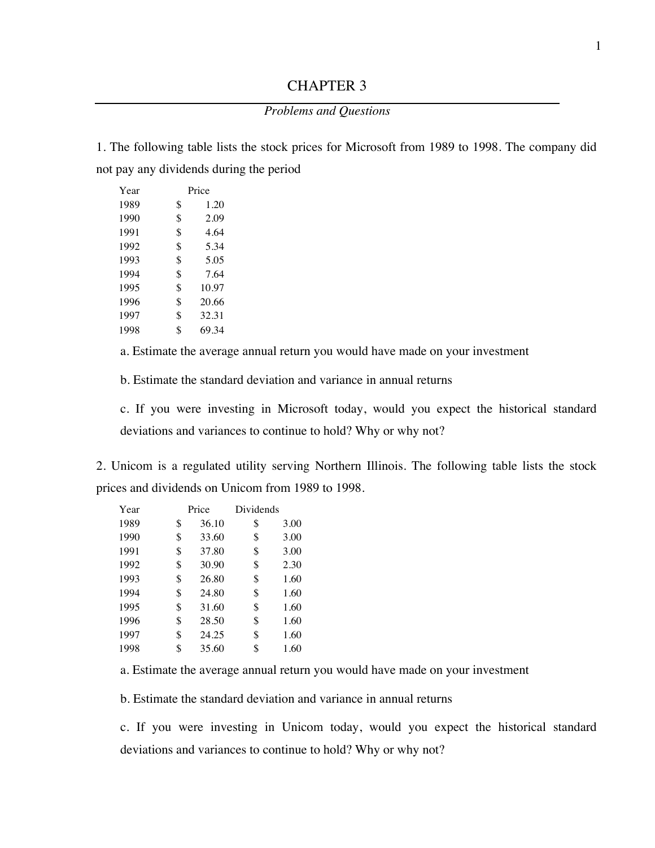## CHAPTER 3

## *Problems and Questions*

1. The following table lists the stock prices for Microsoft from 1989 to 1998. The company did not pay any dividends during the period

| Year | Price |       |  |
|------|-------|-------|--|
| 1989 | \$    | 1.20  |  |
| 1990 | \$    | 2.09  |  |
| 1991 | \$    | 4.64  |  |
| 1992 | \$    | 5.34  |  |
| 1993 | \$    | 5.05  |  |
| 1994 | \$    | 7.64  |  |
| 1995 | \$    | 10.97 |  |
| 1996 | \$    | 20.66 |  |
| 1997 | \$    | 32.31 |  |
| 1998 | \$    | 69.34 |  |

a. Estimate the average annual return you would have made on your investment

b. Estimate the standard deviation and variance in annual returns

c. If you were investing in Microsoft today, would you expect the historical standard deviations and variances to continue to hold? Why or why not?

2. Unicom is a regulated utility serving Northern Illinois. The following table lists the stock prices and dividends on Unicom from 1989 to 1998.

| Year | Price       | Dividends |      |
|------|-------------|-----------|------|
| 1989 | \$<br>36.10 | \$        | 3.00 |
| 1990 | \$<br>33.60 | \$        | 3.00 |
| 1991 | \$<br>37.80 | \$        | 3.00 |
| 1992 | \$<br>30.90 | \$        | 2.30 |
| 1993 | \$<br>26.80 | \$        | 1.60 |
| 1994 | \$<br>24.80 | \$        | 1.60 |
| 1995 | \$<br>31.60 | \$        | 1.60 |
| 1996 | \$<br>28.50 | \$        | 1.60 |
| 1997 | \$<br>24.25 | \$        | 1.60 |
| 1998 | \$<br>35.60 | \$        | 1.60 |

a. Estimate the average annual return you would have made on your investment

b. Estimate the standard deviation and variance in annual returns

c. If you were investing in Unicom today, would you expect the historical standard deviations and variances to continue to hold? Why or why not?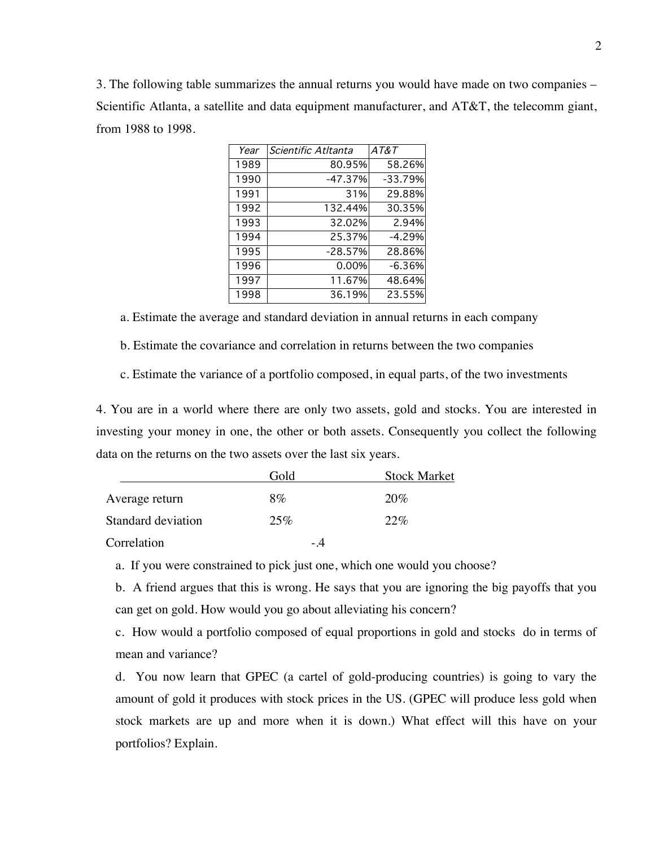3. The following table summarizes the annual returns you would have made on two companies – Scientific Atlanta, a satellite and data equipment manufacturer, and AT&T, the telecomm giant, from 1988 to 1998.

| Year | Scientific Atltanta | AT&T     |
|------|---------------------|----------|
| 1989 | 80.95%              | 58.26%   |
| 1990 | -47.37%             | -33.79%  |
| 1991 | 31%                 | 29.88%   |
| 1992 | 132.44%             | 30.35%   |
| 1993 | 32.02%              | 2.94%    |
| 1994 | 25.37%              | $-4.29%$ |
| 1995 | $-28.57%$           | 28.86%   |
| 1996 | 0.00%               | $-6.36%$ |
| 1997 | 11.67%              | 48.64%   |
| 1998 | 36.19%              | 23.55%   |

a. Estimate the average and standard deviation in annual returns in each company

b. Estimate the covariance and correlation in returns between the two companies

c. Estimate the variance of a portfolio composed, in equal parts, of the two investments

4. You are in a world where there are only two assets, gold and stocks. You are interested in investing your money in one, the other or both assets. Consequently you collect the following data on the returns on the two assets over the last six years.

|                    | Gold  | <b>Stock Market</b> |
|--------------------|-------|---------------------|
| Average return     | $8\%$ | 20%                 |
| Standard deviation | 25%   | 22%                 |
| Correlation        | - 4   |                     |

a. If you were constrained to pick just one, which one would you choose?

b. A friend argues that this is wrong. He says that you are ignoring the big payoffs that you can get on gold. How would you go about alleviating his concern?

c. How would a portfolio composed of equal proportions in gold and stocks do in terms of mean and variance?

d. You now learn that GPEC (a cartel of gold-producing countries) is going to vary the amount of gold it produces with stock prices in the US. (GPEC will produce less gold when stock markets are up and more when it is down.) What effect will this have on your portfolios? Explain.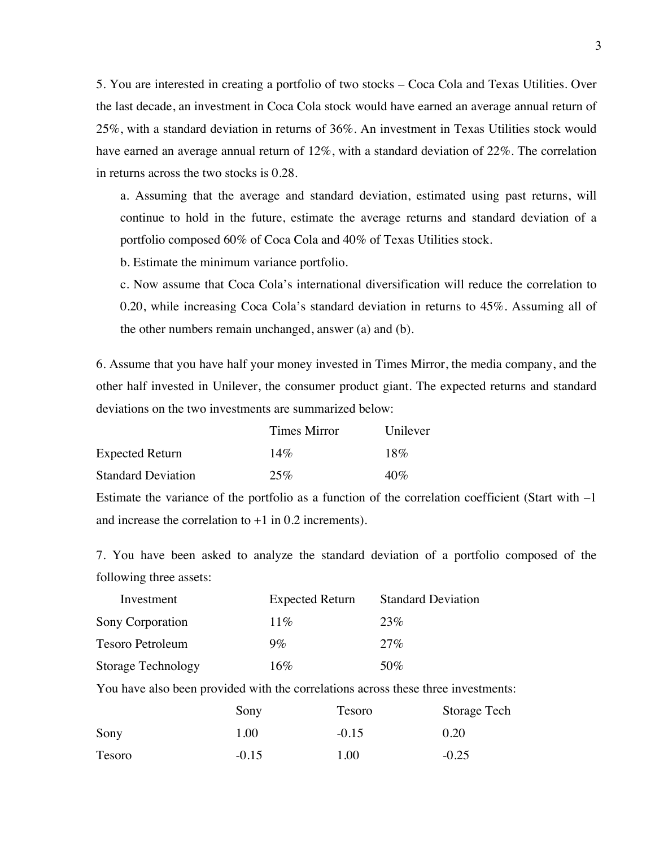5. You are interested in creating a portfolio of two stocks – Coca Cola and Texas Utilities. Over the last decade, an investment in Coca Cola stock would have earned an average annual return of 25%, with a standard deviation in returns of 36%. An investment in Texas Utilities stock would have earned an average annual return of 12%, with a standard deviation of 22%. The correlation in returns across the two stocks is 0.28.

a. Assuming that the average and standard deviation, estimated using past returns, will continue to hold in the future, estimate the average returns and standard deviation of a portfolio composed 60% of Coca Cola and 40% of Texas Utilities stock.

b. Estimate the minimum variance portfolio.

c. Now assume that Coca Cola's international diversification will reduce the correlation to 0.20, while increasing Coca Cola's standard deviation in returns to 45%. Assuming all of the other numbers remain unchanged, answer (a) and (b).

6. Assume that you have half your money invested in Times Mirror, the media company, and the other half invested in Unilever, the consumer product giant. The expected returns and standard deviations on the two investments are summarized below:

|                           | Times Mirror | Unilever |
|---------------------------|--------------|----------|
| <b>Expected Return</b>    | $14\%$       | 18%      |
| <b>Standard Deviation</b> | 25%          | 40%      |

Estimate the variance of the portfolio as a function of the correlation coefficient (Start with –1 and increase the correlation to  $+1$  in 0.2 increments).

7. You have been asked to analyze the standard deviation of a portfolio composed of the following three assets:

| Investment         | <b>Expected Return</b> | <b>Standard Deviation</b> |
|--------------------|------------------------|---------------------------|
| Sony Corporation   | $11\%$                 | 23%                       |
| Tesoro Petroleum   | $9\%$                  | 27%                       |
| Storage Technology | $16\%$                 | $50\%$                    |

You have also been provided with the correlations across these three investments:

|        | Sony    | Tesoro  | Storage Tech |
|--------|---------|---------|--------------|
| Sony   | 1.00    | $-0.15$ | 0.20         |
| Tesoro | $-0.15$ | 1.00    | $-0.25$      |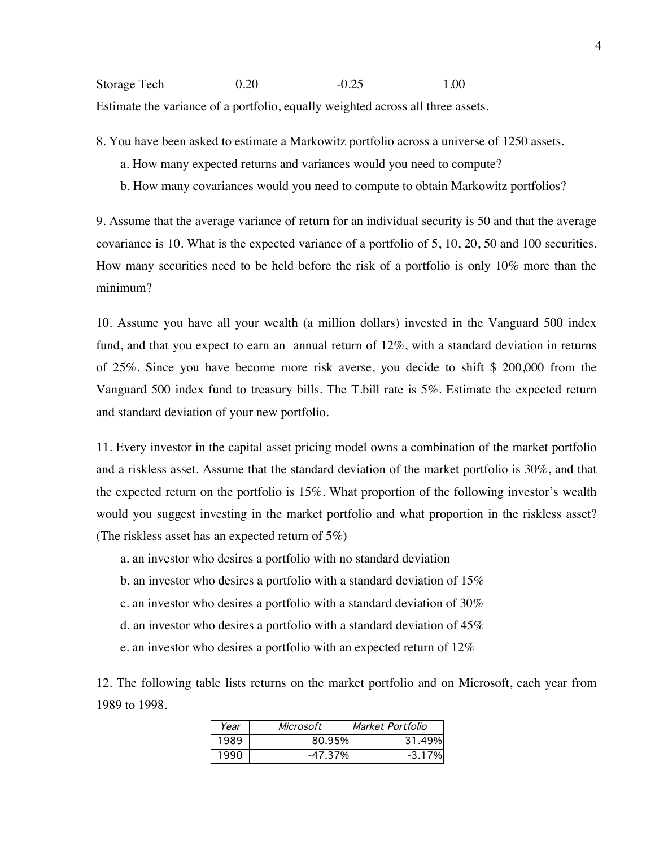Storage Tech 0.20 -0.25 1.00 Estimate the variance of a portfolio, equally weighted across all three assets.

8. You have been asked to estimate a Markowitz portfolio across a universe of 1250 assets.

- a. How many expected returns and variances would you need to compute?
- b. How many covariances would you need to compute to obtain Markowitz portfolios?

9. Assume that the average variance of return for an individual security is 50 and that the average covariance is 10. What is the expected variance of a portfolio of 5, 10, 20, 50 and 100 securities. How many securities need to be held before the risk of a portfolio is only 10% more than the minimum?

10. Assume you have all your wealth (a million dollars) invested in the Vanguard 500 index fund, and that you expect to earn an annual return of 12%, with a standard deviation in returns of 25%. Since you have become more risk averse, you decide to shift \$ 200,000 from the Vanguard 500 index fund to treasury bills. The T.bill rate is 5%. Estimate the expected return and standard deviation of your new portfolio.

11. Every investor in the capital asset pricing model owns a combination of the market portfolio and a riskless asset. Assume that the standard deviation of the market portfolio is 30%, and that the expected return on the portfolio is 15%. What proportion of the following investor's wealth would you suggest investing in the market portfolio and what proportion in the riskless asset? (The riskless asset has an expected return of 5%)

- a. an investor who desires a portfolio with no standard deviation
- b. an investor who desires a portfolio with a standard deviation of 15%
- c. an investor who desires a portfolio with a standard deviation of 30%
- d. an investor who desires a portfolio with a standard deviation of 45%
- e. an investor who desires a portfolio with an expected return of 12%

12. The following table lists returns on the market portfolio and on Microsoft, each year from 1989 to 1998.

| Year | Microsoft | Market Portfolio |
|------|-----------|------------------|
| 1989 | 80.95%    | 31.49%           |
| 1990 | -47.37%   | $-3.17%$         |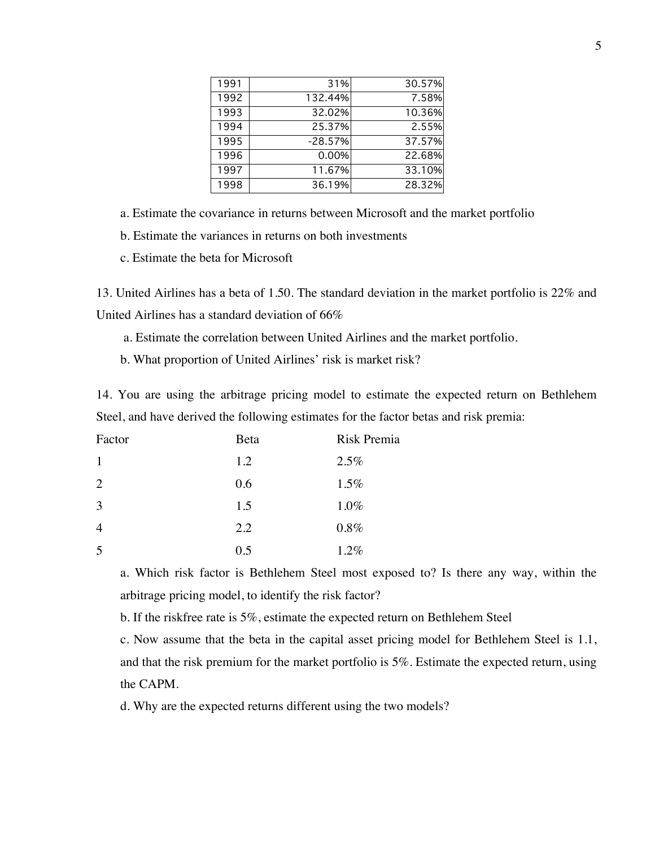| 1991 | 31%       | 30.57% |
|------|-----------|--------|
| 1992 | 132.44%   | 7.58%  |
| 1993 | 32.02%    | 10.36% |
| 1994 | 25.37%    | 2.55%  |
| 1995 | $-28.57%$ | 37.57% |
| 1996 | 0.00%     | 22.68% |
| 1997 | 11.67%    | 33.10% |
| 1998 | 36.19%    | 28.32% |

a. Estimate the covariance in returns between Microsoft and the market portfolio

b. Estimate the variances in returns on both investments

c. Estimate the beta for Microsoft

13. United Airlines has a beta of 1.50. The standard deviation in the market portfolio is 22% and United Airlines has a standard deviation of 66%

a. Estimate the correlation between United Airlines and the market portfolio.

b. What proportion of United Airlines' risk is market risk?

14. You are using the arbitrage pricing model to estimate the expected return on Bethlehem Steel, and have derived the following estimates for the factor betas and risk premia:

| Factor         | Beta | <b>Risk Premia</b> |
|----------------|------|--------------------|
|                | 1.2  | 2.5%               |
| 2              | 0.6  | 1.5%               |
| 3              | 1.5  | 1.0%               |
| $\overline{4}$ | 2.2  | $0.8\%$            |
| 5              | 0.5  | 1.2%               |

a. Which risk factor is Bethlehem Steel most exposed to? Is there any way, within the arbitrage pricing model, to identify the risk factor?

b. If the riskfree rate is 5%, estimate the expected return on Bethlehem Steel

c. Now assume that the beta in the capital asset pricing model for Bethlehem Steel is 1.1, and that the risk premium for the market portfolio is 5%. Estimate the expected return, using the CAPM.

d. Why are the expected returns different using the two models?